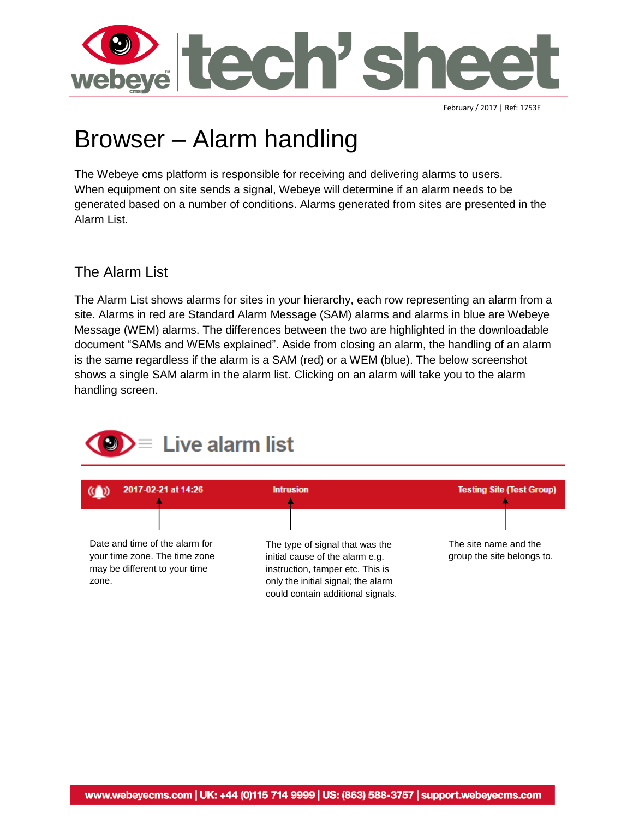

February / 2017 | Ref: 1753E

## Browser – Alarm handling

The Webeye cms platform is responsible for receiving and delivering alarms to users. When equipment on site sends a signal, Webeye will determine if an alarm needs to be generated based on a number of conditions. Alarms generated from sites are presented in the Alarm List.

#### The Alarm List

The Alarm List shows alarms for sites in your hierarchy, each row representing an alarm from a site. Alarms in red are Standard Alarm Message (SAM) alarms and alarms in blue are Webeye Message (WEM) alarms. The differences between the two are highlighted in the downloadable document "SAMs and WEMs explained". Aside from closing an alarm, the handling of an alarm is the same regardless if the alarm is a SAM (red) or a WEM (blue). The below screenshot shows a single SAM alarm in the alarm list. Clicking on an alarm will take you to the alarm handling screen.

# Live alarm list

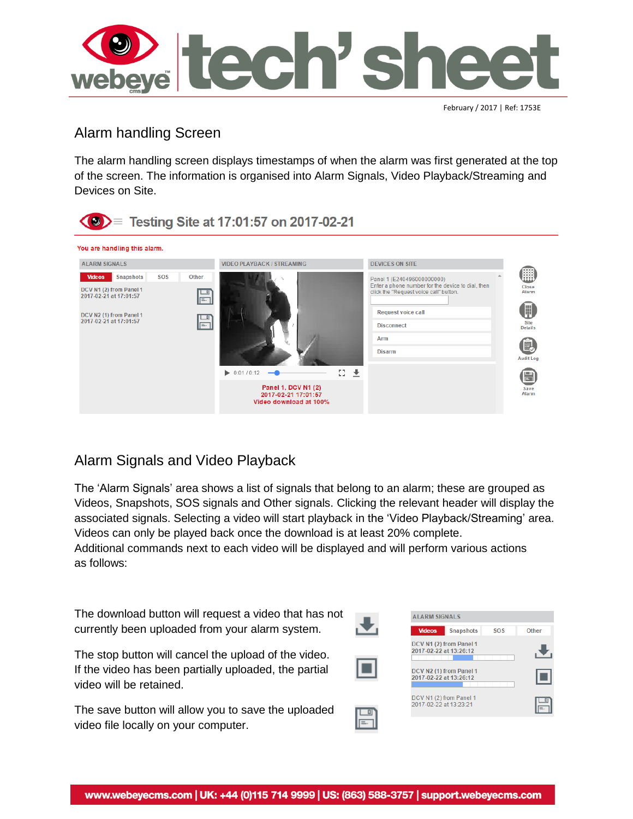

February / 2017 | Ref: 1753E

## Alarm handling Screen

The alarm handling screen displays timestamps of when the alarm was first generated at the top of the screen. The information is organised into Alarm Signals, Video Playback/Streaming and Devices on Site.



## Alarm Signals and Video Playback

The 'Alarm Signals' area shows a list of signals that belong to an alarm; these are grouped as Videos, Snapshots, SOS signals and Other signals. Clicking the relevant header will display the associated signals. Selecting a video will start playback in the 'Video Playback/Streaming' area. Videos can only be played back once the download is at least 20% complete.

Additional commands next to each video will be displayed and will perform various actions as follows:

The download button will request a video that has not currently been uploaded from your alarm system.

The stop button will cancel the upload of the video. If the video has been partially uploaded, the partial video will be retained.

The save button will allow you to save the uploaded video file locally on your computer.



 $\boxed{=}$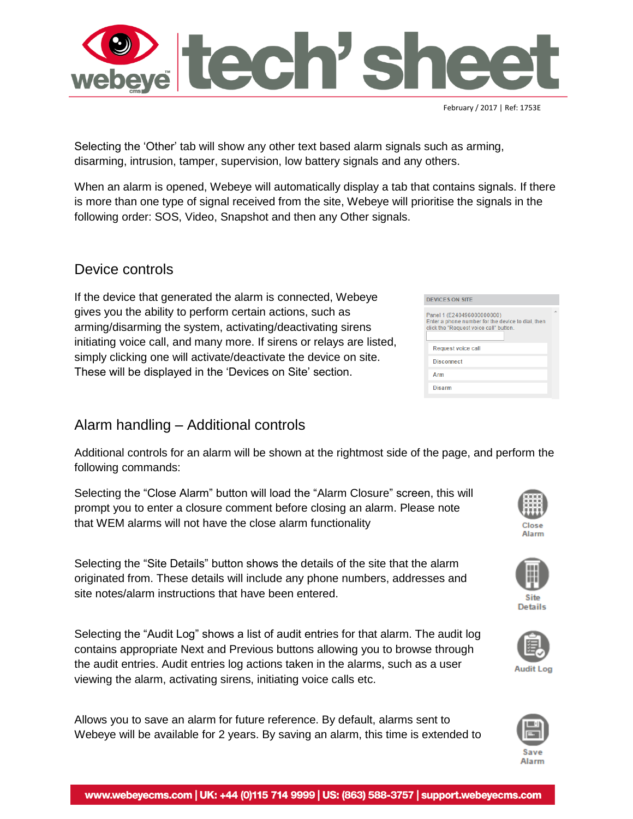



When an alarm is opened, Webeye will automatically display a tab that contains signals. If there is more than one type of signal received from the site, Webeye will prioritise the signals in the following order: SOS, Video, Snapshot and then any Other signals.

#### Device controls

If the device that generated the alarm is connected, Webeye gives you the ability to perform certain actions, such as arming/disarming the system, activating/deactivating sirens initiating voice call, and many more. If sirens or relays are listed, simply clicking one will activate/deactivate the device on site. These will be displayed in the 'Devices on Site' section.

## Alarm handling – Additional controls

Additional controls for an alarm will be shown at the rightmost side of the page, and perform the following commands:

Selecting the "Close Alarm" button will load the "Alarm Closure" screen, this will prompt you to enter a closure comment before closing an alarm. Please note that WEM alarms will not have the close alarm functionality

Selecting the "Site Details" button shows the details of the site that the alarm originated from. These details will include any phone numbers, addresses and site notes/alarm instructions that have been entered.

Selecting the "Audit Log" shows a list of audit entries for that alarm. The audit log contains appropriate Next and Previous buttons allowing you to browse through the audit entries. Audit entries log actions taken in the alarms, such as a user viewing the alarm, activating sirens, initiating voice calls etc.

Allows you to save an alarm for future reference. By default, alarms sent to Webeye will be available for 2 years. By saving an alarm, this time is extended to



| Request voice call |  |
|--------------------|--|
| <b>Disconnect</b>  |  |
| Arm                |  |
| <b>Disarm</b>      |  |
|                    |  |



Close Alarm











February / 2017 | Ref: 1753E